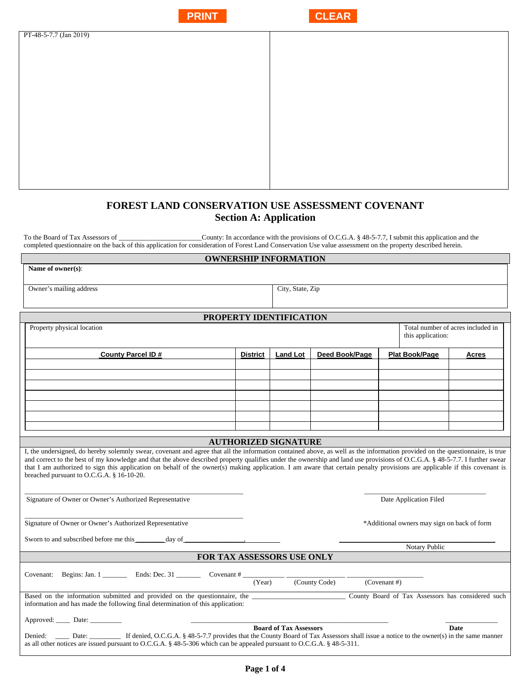|                        | <b>PRINT</b> | <b>CLEAR</b> |
|------------------------|--------------|--------------|
| PT-48-5-7.7 (Jan 2019) |              |              |
|                        |              |              |
|                        |              |              |
|                        |              |              |
|                        |              |              |
|                        |              |              |
|                        |              |              |
|                        |              |              |

# **FOREST LAND CONSERVATION USE ASSESSMENT COVENANT Section A: Application**

To the Board of Tax Assessors of \_\_\_\_\_\_\_\_\_\_\_\_\_\_\_\_\_\_\_\_\_\_\_\_County: In accordance with the provisions of O.C.G.A. § 48-5-7.7, I submit this application and the completed questionnaire on the back of this application for consideration of Forest Land Conservation Use value assessment on the property described herein.

#### **OWNERSHIP INFORMATION**

| Owner's mailing address | City, State, Zip |
|-------------------------|------------------|

**Name of owner(s)**:

### **PROPERTY IDENTIFICATION**

| Property physical location                                                                                                                                                                                                                                                                                                                                                                                                                                                                                                                                                            |                 |                             |                |              | this application:                           | Total number of acres included in |
|---------------------------------------------------------------------------------------------------------------------------------------------------------------------------------------------------------------------------------------------------------------------------------------------------------------------------------------------------------------------------------------------------------------------------------------------------------------------------------------------------------------------------------------------------------------------------------------|-----------------|-----------------------------|----------------|--------------|---------------------------------------------|-----------------------------------|
| <b>County Parcel ID#</b>                                                                                                                                                                                                                                                                                                                                                                                                                                                                                                                                                              | <b>District</b> | <b>Land Lot</b>             | Deed Book/Page |              | <b>Plat Book/Page</b>                       | Acres                             |
|                                                                                                                                                                                                                                                                                                                                                                                                                                                                                                                                                                                       |                 |                             |                |              |                                             |                                   |
|                                                                                                                                                                                                                                                                                                                                                                                                                                                                                                                                                                                       |                 |                             |                |              |                                             |                                   |
|                                                                                                                                                                                                                                                                                                                                                                                                                                                                                                                                                                                       |                 |                             |                |              |                                             |                                   |
|                                                                                                                                                                                                                                                                                                                                                                                                                                                                                                                                                                                       |                 |                             |                |              |                                             |                                   |
|                                                                                                                                                                                                                                                                                                                                                                                                                                                                                                                                                                                       |                 |                             |                |              |                                             |                                   |
|                                                                                                                                                                                                                                                                                                                                                                                                                                                                                                                                                                                       |                 |                             |                |              |                                             |                                   |
|                                                                                                                                                                                                                                                                                                                                                                                                                                                                                                                                                                                       |                 |                             |                |              |                                             |                                   |
|                                                                                                                                                                                                                                                                                                                                                                                                                                                                                                                                                                                       |                 | <b>AUTHORIZED SIGNATURE</b> |                |              |                                             |                                   |
| I, the undersigned, do hereby solemnly swear, covenant and agree that all the information contained above, as well as the information provided on the questionnaire, is true<br>and correct to the best of my knowledge and that the above described property qualifies under the ownership and land use provisions of O.C.G.A. § 48-5-7.7. I further swear<br>that I am authorized to sign this application on behalf of the owner(s) making application. I am aware that certain penalty provisions are applicable if this covenant is<br>breached pursuant to O.C.G.A. § 16-10-20. |                 |                             |                |              |                                             |                                   |
| Signature of Owner or Owner's Authorized Representative                                                                                                                                                                                                                                                                                                                                                                                                                                                                                                                               |                 |                             |                |              | Date Application Filed                      |                                   |
| Signature of Owner or Owner's Authorized Representative                                                                                                                                                                                                                                                                                                                                                                                                                                                                                                                               |                 |                             |                |              | *Additional owners may sign on back of form |                                   |
| Sworn to and subscribed before me this _________ day of _________________________                                                                                                                                                                                                                                                                                                                                                                                                                                                                                                     |                 |                             |                |              | Notary Public                               |                                   |
| FOR TAX ASSESSORS USE ONLY                                                                                                                                                                                                                                                                                                                                                                                                                                                                                                                                                            |                 |                             |                |              |                                             |                                   |
|                                                                                                                                                                                                                                                                                                                                                                                                                                                                                                                                                                                       |                 |                             |                |              |                                             |                                   |
| Covenant: Begins: Jan. 1 Ends: Dec. 31 Covenant #                                                                                                                                                                                                                                                                                                                                                                                                                                                                                                                                     | (Year)          |                             | (County Code)  | (Covenant #) |                                             |                                   |
| Based on the information submitted and provided on the questionnaire, the<br>County Board of Tax Assessors has considered such<br>information and has made the following final determination of this application:                                                                                                                                                                                                                                                                                                                                                                     |                 |                             |                |              |                                             |                                   |
|                                                                                                                                                                                                                                                                                                                                                                                                                                                                                                                                                                                       |                 |                             |                |              |                                             |                                   |
| <b>Board of Tax Assessors</b><br><b>Date</b><br>Denied: Date: Date: If denied, O.C.G.A. § 48-5-7.7 provides that the County Board of Tax Assessors shall issue a notice to the owner(s) in the same manner<br>as all other notices are issued pursuant to O.C.G.A. $\S$ 48-5-306 which can be appealed pursuant to O.C.G.A. $\S$ 48-5-311.                                                                                                                                                                                                                                            |                 |                             |                |              |                                             |                                   |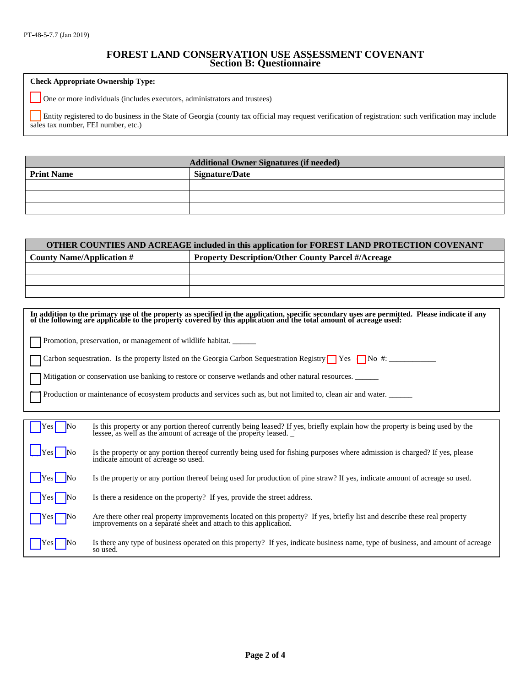## **FOREST LAND CONSERVATION USE ASSESSMENT COVENANT Section B: Questionnaire**

**Check Appropriate Ownership Type:** 

One or more individuals (includes executors, administrators and trustees)

[ ] Entity registered to do business in the State of Georgia (county tax official may request verification of registration: such verification may include sales tax number, FEI number, etc.)

| <b>Additional Owner Signatures (if needed)</b> |                       |  |  |
|------------------------------------------------|-----------------------|--|--|
| <b>Print Name</b>                              | <b>Signature/Date</b> |  |  |
|                                                |                       |  |  |
|                                                |                       |  |  |
|                                                |                       |  |  |

| OTHER COUNTIES AND ACREAGE included in this application for FOREST LAND PROTECTION COVENANT |                                                           |  |  |
|---------------------------------------------------------------------------------------------|-----------------------------------------------------------|--|--|
| County Name/Application $#$                                                                 | <b>Property Description/Other County Parcel #/Acreage</b> |  |  |
|                                                                                             |                                                           |  |  |
|                                                                                             |                                                           |  |  |
|                                                                                             |                                                           |  |  |

| In addition to the primary use of the property as specified in the application, specific secondary uses are permitted. Please indicate if any of the following are applicable to the property covered by this application and |                                                                                                                                                                                                   |  |  |  |  |
|-------------------------------------------------------------------------------------------------------------------------------------------------------------------------------------------------------------------------------|---------------------------------------------------------------------------------------------------------------------------------------------------------------------------------------------------|--|--|--|--|
|                                                                                                                                                                                                                               | Promotion, preservation, or management of wildlife habitat.                                                                                                                                       |  |  |  |  |
|                                                                                                                                                                                                                               | Carbon sequestration. Is the property listed on the Georgia Carbon Sequestration Registry $\Box$ Yes $\Box$ No #:                                                                                 |  |  |  |  |
|                                                                                                                                                                                                                               | Mitigation or conservation use banking to restore or conserve wetlands and other natural resources.                                                                                               |  |  |  |  |
|                                                                                                                                                                                                                               | Production or maintenance of ecosystem products and services such as, but not limited to, clean air and water.                                                                                    |  |  |  |  |
|                                                                                                                                                                                                                               |                                                                                                                                                                                                   |  |  |  |  |
| No<br>Yesl                                                                                                                                                                                                                    | Is this property or any portion thereof currently being leased? If yes, briefly explain how the property is being used by the<br>lessee, as well as the amount of acreage of the property leased. |  |  |  |  |
| Y es l                                                                                                                                                                                                                        | Is the property or any portion thereof currently being used for fishing purposes where admission is charged? If yes, please<br>indicate amount of acreage so used.                                |  |  |  |  |
| Yes                                                                                                                                                                                                                           | Is the property or any portion thereof being used for production of pine straw? If yes, indicate amount of acreage so used.                                                                       |  |  |  |  |
|                                                                                                                                                                                                                               | Is there a residence on the property? If yes, provide the street address.                                                                                                                         |  |  |  |  |
|                                                                                                                                                                                                                               | Are there other real property improvements located on this property? If yes, briefly list and describe these real property<br>improvements on a separate sheet and attach to this application.    |  |  |  |  |
| Y es l                                                                                                                                                                                                                        | Is there any type of business operated on this property? If yes, indicate business name, type of business, and amount of acreage<br>so used.                                                      |  |  |  |  |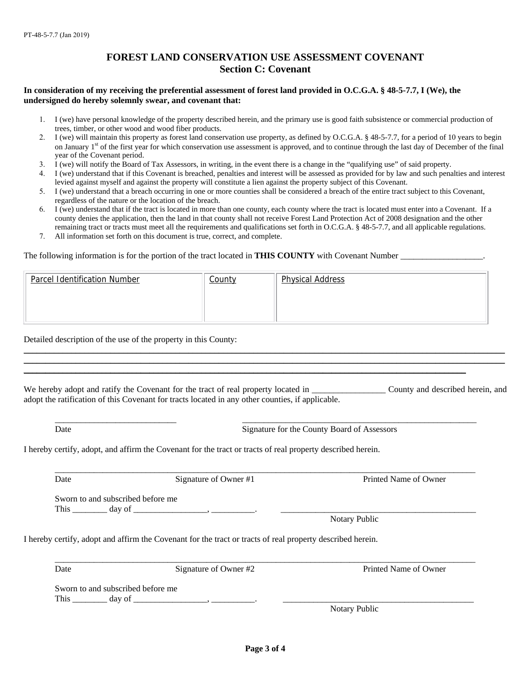## **FOREST LAND CONSERVATION USE ASSESSMENT COVENANT Section C: Covenant**

### **In consideration of my receiving the preferential assessment of forest land provided in O.C.G.A. § 48-5-7.7, I (We), the undersigned do hereby solemnly swear, and covenant that:**

- 1. I (we) have personal knowledge of the property described herein, and the primary use is good faith subsistence or commercial production of trees, timber, or other wood and wood fiber products.
- 2. I (we) will maintain this property as forest land conservation use property, as defined by O.C.G.A. § 48-5-7.7, for a period of 10 years to begin on January 1<sup>st</sup> of the first year for which conservation use assessment is approved, and to continue through the last day of December of the final year of the Covenant period.
- 3. I (we) will notify the Board of Tax Assessors, in writing, in the event there is a change in the "qualifying use" of said property.
- 4. I (we) understand that if this Covenant is breached, penalties and interest will be assessed as provided for by law and such penalties and interest levied against myself and against the property will constitute a lien against the property subject of this Covenant.
- 5. I (we) understand that a breach occurring in one or more counties shall be considered a breach of the entire tract subject to this Covenant, regardless of the nature or the location of the breach.
- 6. I (we) understand that if the tract is located in more than one county, each county where the tract is located must enter into a Covenant. If a county denies the application, then the land in that county shall not receive Forest Land Protection Act of 2008 designation and the other remaining tract or tracts must meet all the requirements and qualifications set forth in O.C.G.A. § 48-5-7.7, and all applicable regulations.
- 7. All information set forth on this document is true, correct, and complete.

#### The following information is for the portion of the tract located in **THIS COUNTY** with Covenant Number **\_\_\_\_\_\_\_\_\_\_\_\_\_\_\_\_**

| Parcel Identification Number | <b>County</b> | <b>Physical Address</b> |
|------------------------------|---------------|-------------------------|
|                              |               |                         |
|                              |               |                         |

Detailed description of the use of the property in this County:

We hereby adopt and ratify the Covenant for the tract of real property located in \_\_\_\_\_\_\_\_\_\_\_\_\_\_\_\_\_\_\_\_\_\_\_\_ County and described herein, and adopt the ratification of this Covenant for tracts located in any other counties, if applicable.

\_\_\_\_\_\_\_\_\_\_\_\_\_\_\_\_\_\_\_\_\_\_\_\_\_\_\_\_\_\_\_\_\_\_\_\_\_\_\_\_\_\_\_\_\_\_\_\_\_\_\_\_\_\_\_\_\_\_\_\_\_\_\_\_\_\_\_\_\_\_\_\_\_\_\_\_\_\_\_\_\_\_\_\_\_\_\_\_\_\_\_\_\_\_\_\_\_\_\_\_\_\_\_\_\_\_\_\_\_\_\_  $\_$  , and the set of the set of the set of the set of the set of the set of the set of the set of the set of the set of the set of the set of the set of the set of the set of the set of the set of the set of the set of th

\_\_\_\_\_\_\_\_\_\_\_\_\_\_\_\_\_\_\_\_\_\_\_\_\_\_\_\_\_\_\_\_\_\_\_\_\_\_\_\_\_\_\_\_\_\_\_\_\_\_\_\_\_\_\_\_\_\_\_\_\_\_\_\_\_\_\_\_\_\_\_\_\_\_\_\_\_\_\_\_\_\_\_\_\_\_\_\_\_\_\_\_\_\_\_\_\_\_\_\_\_\_

\_\_\_\_\_\_\_\_\_\_\_\_\_\_\_\_\_\_\_\_\_\_\_\_\_\_\_\_ \_\_\_\_\_\_\_\_\_\_\_\_\_\_\_\_\_\_\_\_\_\_\_\_\_\_\_\_\_\_\_\_\_\_\_\_\_\_\_\_\_\_\_\_\_\_\_\_\_\_\_\_\_\_

Date Signature for the County Board of Assessors

I hereby certify, adopt, and affirm the Covenant for the tract or tracts of real property described herein.

 $\_$  ,  $\_$  ,  $\_$  ,  $\_$  ,  $\_$  ,  $\_$  ,  $\_$  ,  $\_$  ,  $\_$  ,  $\_$  ,  $\_$  ,  $\_$  ,  $\_$  ,  $\_$  ,  $\_$  ,  $\_$  ,  $\_$  ,  $\_$  ,  $\_$  ,  $\_$  ,  $\_$  ,  $\_$  ,  $\_$  ,  $\_$  ,  $\_$  ,  $\_$  ,  $\_$  ,  $\_$  ,  $\_$  ,  $\_$  ,  $\_$  ,  $\_$  ,  $\_$  ,  $\_$  ,  $\_$  ,  $\_$  ,  $\_$  , Date Signature of Owner #1 Printed Name of Owner =

Sworn to and subscribed before me This \_\_\_\_\_\_\_\_ day of \_\_\_\_\_\_\_\_\_\_\_\_\_\_\_\_\_, \_\_\_\_\_\_\_\_\_\_. \_\_\_\_\_\_\_\_\_\_\_\_\_\_\_\_\_\_\_\_\_\_\_\_\_\_\_\_\_\_\_\_\_\_\_\_\_\_\_\_\_\_\_\_\_

Notary Public

I hereby certify, adopt and affirm the Covenant for the tract or tracts of real property described herein.

Date Signature of Owner #2 Printed Name of Owner #2

Sworn to and subscribed before me This \_\_\_\_\_\_\_\_ day of \_\_\_\_\_\_\_\_\_\_\_\_\_\_\_\_\_, \_\_\_\_\_\_\_\_\_\_. \_\_\_\_\_\_\_\_\_\_\_\_\_\_\_\_\_\_\_\_\_\_\_\_\_\_\_\_\_\_\_\_\_\_\_\_\_\_\_\_\_\_\_\_

Notary Public

 $\_$  ,  $\_$  ,  $\_$  ,  $\_$  ,  $\_$  ,  $\_$  ,  $\_$  ,  $\_$  ,  $\_$  ,  $\_$  ,  $\_$  ,  $\_$  ,  $\_$  ,  $\_$  ,  $\_$  ,  $\_$  ,  $\_$  ,  $\_$  ,  $\_$  ,  $\_$  ,  $\_$  ,  $\_$  ,  $\_$  ,  $\_$  ,  $\_$  ,  $\_$  ,  $\_$  ,  $\_$  ,  $\_$  ,  $\_$  ,  $\_$  ,  $\_$  ,  $\_$  ,  $\_$  ,  $\_$  ,  $\_$  ,  $\_$  ,